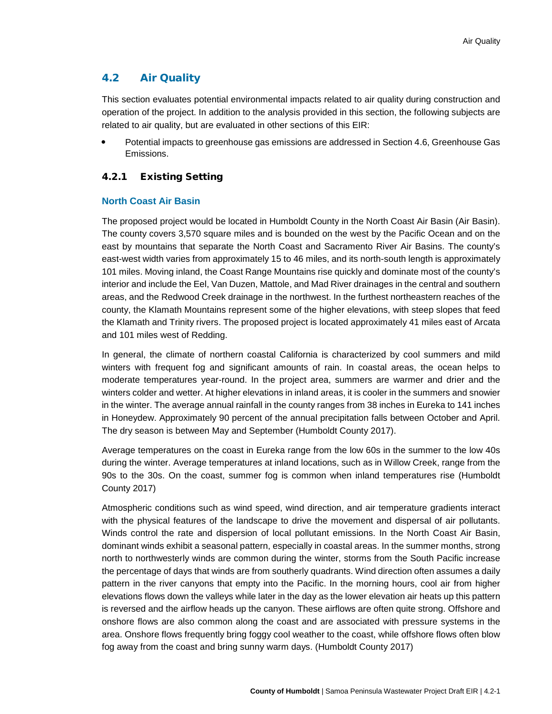# 4.2 Air Quality

This section evaluates potential environmental impacts related to air quality during construction and operation of the project. In addition to the analysis provided in this section, the following subjects are related to air quality, but are evaluated in other sections of this EIR:

 Potential impacts to greenhouse gas emissions are addressed in Section 4.6, Greenhouse Gas Emissions.

# 4.2.1 Existing Setting

# **North Coast Air Basin**

The proposed project would be located in Humboldt County in the North Coast Air Basin (Air Basin). The county covers 3,570 square miles and is bounded on the west by the Pacific Ocean and on the east by mountains that separate the North Coast and Sacramento River Air Basins. The county's east-west width varies from approximately 15 to 46 miles, and its north-south length is approximately 101 miles. Moving inland, the Coast Range Mountains rise quickly and dominate most of the county's interior and include the Eel, Van Duzen, Mattole, and Mad River drainages in the central and southern areas, and the Redwood Creek drainage in the northwest. In the furthest northeastern reaches of the county, the Klamath Mountains represent some of the higher elevations, with steep slopes that feed the Klamath and Trinity rivers. The proposed project is located approximately 41 miles east of Arcata and 101 miles west of Redding.

In general, the climate of northern coastal California is characterized by cool summers and mild winters with frequent fog and significant amounts of rain. In coastal areas, the ocean helps to moderate temperatures year-round. In the project area, summers are warmer and drier and the winters colder and wetter. At higher elevations in inland areas, it is cooler in the summers and snowier in the winter. The average annual rainfall in the county ranges from 38 inches in Eureka to 141 inches in Honeydew. Approximately 90 percent of the annual precipitation falls between October and April. The dry season is between May and September (Humboldt County 2017).

Average temperatures on the coast in Eureka range from the low 60s in the summer to the low 40s during the winter. Average temperatures at inland locations, such as in Willow Creek, range from the 90s to the 30s. On the coast, summer fog is common when inland temperatures rise (Humboldt County 2017)

Atmospheric conditions such as wind speed, wind direction, and air temperature gradients interact with the physical features of the landscape to drive the movement and dispersal of air pollutants. Winds control the rate and dispersion of local pollutant emissions. In the North Coast Air Basin, dominant winds exhibit a seasonal pattern, especially in coastal areas. In the summer months, strong north to northwesterly winds are common during the winter, storms from the South Pacific increase the percentage of days that winds are from southerly quadrants. Wind direction often assumes a daily pattern in the river canyons that empty into the Pacific. In the morning hours, cool air from higher elevations flows down the valleys while later in the day as the lower elevation air heats up this pattern is reversed and the airflow heads up the canyon. These airflows are often quite strong. Offshore and onshore flows are also common along the coast and are associated with pressure systems in the area. Onshore flows frequently bring foggy cool weather to the coast, while offshore flows often blow fog away from the coast and bring sunny warm days. (Humboldt County 2017)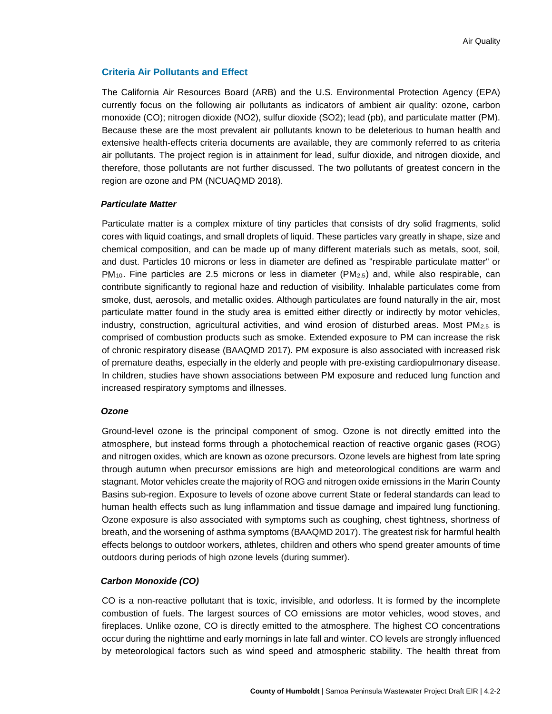# **Criteria Air Pollutants and Effect**

The California Air Resources Board (ARB) and the U.S. Environmental Protection Agency (EPA) currently focus on the following air pollutants as indicators of ambient air quality: ozone, carbon monoxide (CO); nitrogen dioxide (NO2), sulfur dioxide (SO2); lead (pb), and particulate matter (PM). Because these are the most prevalent air pollutants known to be deleterious to human health and extensive health-effects criteria documents are available, they are commonly referred to as criteria air pollutants. The project region is in attainment for lead, sulfur dioxide, and nitrogen dioxide, and therefore, those pollutants are not further discussed. The two pollutants of greatest concern in the region are ozone and PM (NCUAQMD 2018).

## *Particulate Matter*

Particulate matter is a complex mixture of tiny particles that consists of dry solid fragments, solid cores with liquid coatings, and small droplets of liquid. These particles vary greatly in shape, size and chemical composition, and can be made up of many different materials such as metals, soot, soil, and dust. Particles 10 microns or less in diameter are defined as "respirable particulate matter" or  $PM_{10}$ . Fine particles are 2.5 microns or less in diameter ( $PM_{2.5}$ ) and, while also respirable, can contribute significantly to regional haze and reduction of visibility. Inhalable particulates come from smoke, dust, aerosols, and metallic oxides. Although particulates are found naturally in the air, most particulate matter found in the study area is emitted either directly or indirectly by motor vehicles, industry, construction, agricultural activities, and wind erosion of disturbed areas. Most  $PM_{2.5}$  is comprised of combustion products such as smoke. Extended exposure to PM can increase the risk of chronic respiratory disease (BAAQMD 2017). PM exposure is also associated with increased risk of premature deaths, especially in the elderly and people with pre-existing cardiopulmonary disease. In children, studies have shown associations between PM exposure and reduced lung function and increased respiratory symptoms and illnesses.

## *Ozone*

Ground-level ozone is the principal component of smog. Ozone is not directly emitted into the atmosphere, but instead forms through a photochemical reaction of reactive organic gases (ROG) and nitrogen oxides, which are known as ozone precursors. Ozone levels are highest from late spring through autumn when precursor emissions are high and meteorological conditions are warm and stagnant. Motor vehicles create the majority of ROG and nitrogen oxide emissions in the Marin County Basins sub-region. Exposure to levels of ozone above current State or federal standards can lead to human health effects such as lung inflammation and tissue damage and impaired lung functioning. Ozone exposure is also associated with symptoms such as coughing, chest tightness, shortness of breath, and the worsening of asthma symptoms (BAAQMD 2017). The greatest risk for harmful health effects belongs to outdoor workers, athletes, children and others who spend greater amounts of time outdoors during periods of high ozone levels (during summer).

## *Carbon Monoxide (CO)*

CO is a non-reactive pollutant that is toxic, invisible, and odorless. It is formed by the incomplete combustion of fuels. The largest sources of CO emissions are motor vehicles, wood stoves, and fireplaces. Unlike ozone, CO is directly emitted to the atmosphere. The highest CO concentrations occur during the nighttime and early mornings in late fall and winter. CO levels are strongly influenced by meteorological factors such as wind speed and atmospheric stability. The health threat from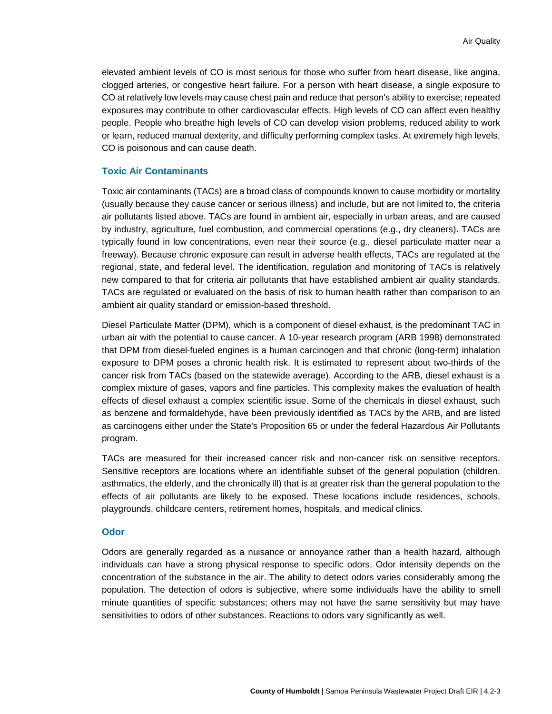elevated ambient levels of CO is most serious for those who suffer from heart disease, like angina, clogged arteries, or congestive heart failure. For a person with heart disease, a single exposure to CO at relatively low levels may cause chest pain and reduce that person's ability to exercise; repeated exposures may contribute to other cardiovascular effects. High levels of CO can affect even healthy people. People who breathe high levels of CO can develop vision problems, reduced ability to work or learn, reduced manual dexterity, and difficulty performing complex tasks. At extremely high levels, CO is poisonous and can cause death.

## **Toxic Air Contaminants**

Toxic air contaminants (TACs) are a broad class of compounds known to cause morbidity or mortality (usually because they cause cancer or serious illness) and include, but are not limited to, the criteria air pollutants listed above. TACs are found in ambient air, especially in urban areas, and are caused by industry, agriculture, fuel combustion, and commercial operations (e.g., dry cleaners). TACs are typically found in low concentrations, even near their source (e.g., diesel particulate matter near a freeway). Because chronic exposure can result in adverse health effects, TACs are regulated at the regional, state, and federal level. The identification, regulation and monitoring of TACs is relatively new compared to that for criteria air pollutants that have established ambient air quality standards. TACs are regulated or evaluated on the basis of risk to human health rather than comparison to an ambient air quality standard or emission-based threshold.

Diesel Particulate Matter (DPM), which is a component of diesel exhaust, is the predominant TAC in urban air with the potential to cause cancer. A 10-year research program (ARB 1998) demonstrated that DPM from diesel-fueled engines is a human carcinogen and that chronic (long-term) inhalation exposure to DPM poses a chronic health risk. It is estimated to represent about two-thirds of the cancer risk from TACs (based on the statewide average). According to the ARB, diesel exhaust is a complex mixture of gases, vapors and fine particles. This complexity makes the evaluation of health effects of diesel exhaust a complex scientific issue. Some of the chemicals in diesel exhaust, such as benzene and formaldehyde, have been previously identified as TACs by the ARB, and are listed as carcinogens either under the State's Proposition 65 or under the federal Hazardous Air Pollutants program.

TACs are measured for their increased cancer risk and non-cancer risk on sensitive receptors. Sensitive receptors are locations where an identifiable subset of the general population (children, asthmatics, the elderly, and the chronically ill) that is at greater risk than the general population to the effects of air pollutants are likely to be exposed. These locations include residences, schools, playgrounds, childcare centers, retirement homes, hospitals, and medical clinics.

### **Odor**

Odors are generally regarded as a nuisance or annoyance rather than a health hazard, although individuals can have a strong physical response to specific odors. Odor intensity depends on the concentration of the substance in the air. The ability to detect odors varies considerably among the population. The detection of odors is subjective, where some individuals have the ability to smell minute quantities of specific substances; others may not have the same sensitivity but may have sensitivities to odors of other substances. Reactions to odors vary significantly as well.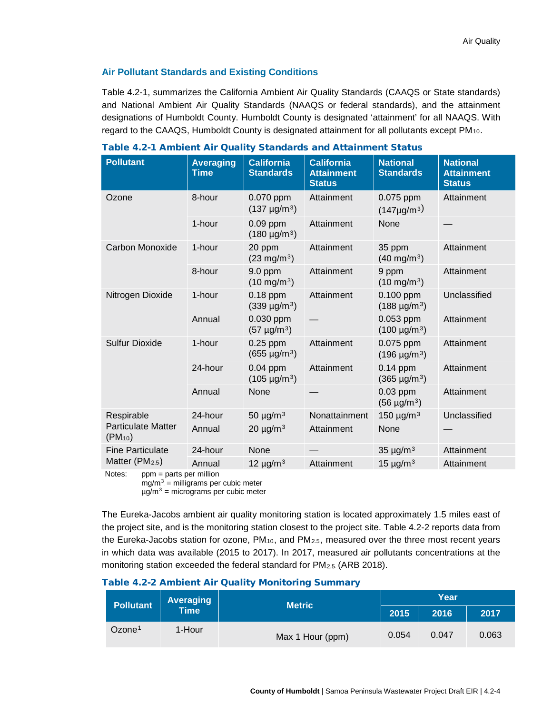# **Air Pollutant Standards and Existing Conditions**

[Table 4.2-1,](#page-3-0) summarizes the California Ambient Air Quality Standards (CAAQS or State standards) and National Ambient Air Quality Standards (NAAQS or federal standards), and the attainment designations of Humboldt County. Humboldt County is designated 'attainment' for all NAAQS. With regard to the CAAQS, Humboldt County is designated attainment for all pollutants except PM<sub>10</sub>.

| <b>Pollutant</b>                                        | <b>Averaging</b><br><b>Time</b> | <b>California</b><br><b>Standards</b> | <b>California</b><br><b>Attainment</b><br><b>Status</b> | <b>National</b><br><b>Standards</b>   | <b>National</b><br><b>Attainment</b><br><b>Status</b> |
|---------------------------------------------------------|---------------------------------|---------------------------------------|---------------------------------------------------------|---------------------------------------|-------------------------------------------------------|
| Ozone                                                   | 8-hour                          | 0.070 ppm<br>$(137 \mu g/m^3)$        | Attainment                                              | 0.075 ppm<br>$(147 \mu g/m^3)$        | Attainment                                            |
|                                                         | 1-hour                          | $0.09$ ppm<br>$(180 \text{ µg/m}^3)$  | Attainment                                              | None                                  |                                                       |
| Carbon Monoxide                                         | 1-hour                          | 20 ppm<br>$(23 \text{ mg/m}^3)$       | Attainment                                              | 35 ppm<br>$(40 \text{ mg/m}^3)$       | Attainment                                            |
|                                                         | 8-hour                          | 9.0 ppm<br>$(10 \text{ mg/m}^3)$      | Attainment                                              | 9 ppm<br>$(10 \text{ mg/m}^3)$        | Attainment                                            |
| Nitrogen Dioxide                                        | 1-hour                          | $0.18$ ppm<br>$(339 \text{ µg/m}^3)$  | Attainment                                              | $0.100$ ppm<br>$(188 \text{ µg/m}^3)$ | Unclassified                                          |
|                                                         | Annual                          | 0.030 ppm<br>$(57 \text{ µg/m}^3)$    |                                                         | 0.053 ppm<br>$(100 \mu g/m^3)$        | Attainment                                            |
| <b>Sulfur Dioxide</b>                                   | 1-hour                          | $0.25$ ppm<br>$(655 \text{ µg/m}^3)$  | Attainment                                              | 0.075 ppm<br>$(196 \text{ µg/m}^3)$   | Attainment                                            |
|                                                         | 24-hour                         | $0.04$ ppm<br>$(105 \text{ µg/m}^3)$  | Attainment                                              | $0.14$ ppm<br>$(365 \text{ µg/m}^3)$  | Attainment                                            |
|                                                         | Annual                          | None                                  |                                                         | $0.03$ ppm<br>$(56 \text{ µg/m}^3)$   | Attainment                                            |
| Respirable<br><b>Particulate Matter</b><br>$(PM_{.10})$ | 24-hour                         | 50 $\mu$ g/m $^3$                     | Nonattainment                                           | 150 $\mu$ g/m $^{3}$                  | Unclassified                                          |
|                                                         | Annual                          | 20 $\mu$ g/m $^3$                     | Attainment                                              | None                                  |                                                       |
| <b>Fine Particulate</b>                                 | 24-hour                         | None                                  |                                                         | 35 $\mu$ g/m $^3$                     | Attainment                                            |
| Matter $(PM2.5)$                                        | Annual                          | 12 $\mu$ g/m $^3$                     | Attainment                                              | 15 $\mu$ g/m $^3$                     | Attainment                                            |

<span id="page-3-0"></span>Table 4.2-1 Ambient Air Quality Standards and Attainment Status

Notes: ppm = parts per million mg/m $3$  = milligrams per cubic meter µg/m<sup>3</sup> = micrograms per cubic meter

The Eureka-Jacobs ambient air quality monitoring station is located approximately 1.5 miles east of the project site, and is the monitoring station closest to the project site. Table 4.2-2 reports data from the Eureka-Jacobs station for ozone,  $PM_{10}$ , and  $PM_{2.5}$ , measured over the three most recent years in which data was available (2015 to 2017). In 2017, measured air pollutants concentrations at the monitoring station exceeded the federal standard for PM<sub>2.5</sub> (ARB 2018).

## Table 4.2-2 Ambient Air Quality Monitoring Summary

|                    | <b>Averaging</b><br><b>Pollutant</b><br>Time <sup>'</sup> |                  | Year  |       |       |
|--------------------|-----------------------------------------------------------|------------------|-------|-------|-------|
|                    |                                                           | <b>Metric</b>    | 2015  | 2016  | 2017  |
| Ozone <sup>1</sup> | 1-Hour                                                    | Max 1 Hour (ppm) | 0.054 | 0.047 | 0.063 |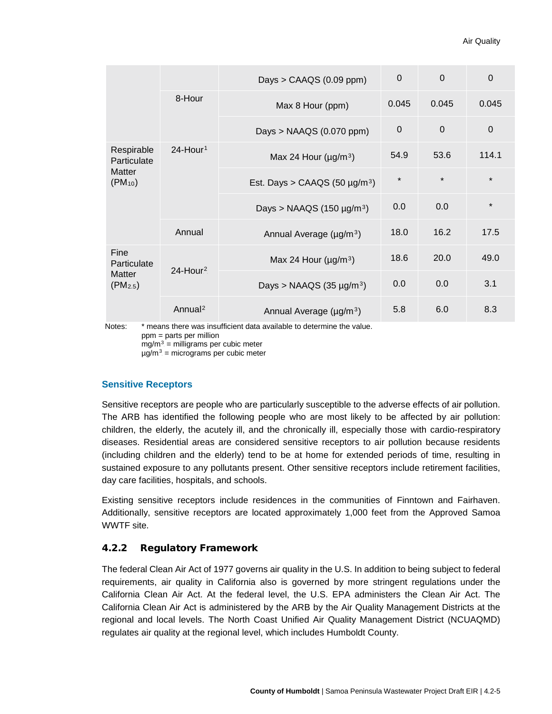|                                                            |                         | Days > $CAAGS (0.09 ppm)$                      | $\Omega$    | $\Omega$    | $\Omega$    |
|------------------------------------------------------------|-------------------------|------------------------------------------------|-------------|-------------|-------------|
|                                                            | 8-Hour                  | Max 8 Hour (ppm)                               | 0.045       | 0.045       | 0.045       |
|                                                            |                         | Days > $NAAGS$ (0.070 ppm)                     | $\mathbf 0$ | $\mathbf 0$ | $\mathbf 0$ |
| Respirable<br>Particulate<br><b>Matter</b><br>$(PM_{.10})$ | $24$ -Hour <sup>1</sup> | Max 24 Hour ( $\mu$ g/m <sup>3</sup> )         | 54.9        | 53.6        | 114.1       |
|                                                            |                         | Est. Days > CAAQS (50 $\mu$ g/m <sup>3</sup> ) | $\star$     | $\star$     | $\star$     |
|                                                            |                         | Days > NAAQS (150 $\mu$ g/m <sup>3</sup> )     | 0.0         | 0.0         | $\star$     |
|                                                            | Annual                  | Annual Average (µg/m <sup>3</sup> )            | 18.0        | 16.2        | 17.5        |
| Fine<br>Particulate<br><b>Matter</b><br>$(PM_{2.5})$       | $24$ -Hour <sup>2</sup> | Max 24 Hour ( $\mu$ g/m <sup>3</sup> )         | 18.6        | 20.0        | 49.0        |
|                                                            |                         | Days > NAAQS (35 $\mu$ g/m <sup>3</sup> )      | 0.0         | 0.0         | 3.1         |
|                                                            | Annual <sup>2</sup>     | Annual Average (µg/m <sup>3</sup> )            | 5.8         | 6.0         | 8.3         |

Notes: \* means there was insufficient data available to determine the value. ppm = parts per million  $mg/m<sup>3</sup>$  = milligrams per cubic meter

µg/m<sup>3</sup> = micrograms per cubic meter

## **Sensitive Receptors**

Sensitive receptors are people who are particularly susceptible to the adverse effects of air pollution. The ARB has identified the following people who are most likely to be affected by air pollution: children, the elderly, the acutely ill, and the chronically ill, especially those with cardio-respiratory diseases. Residential areas are considered sensitive receptors to air pollution because residents (including children and the elderly) tend to be at home for extended periods of time, resulting in sustained exposure to any pollutants present. Other sensitive receptors include retirement facilities, day care facilities, hospitals, and schools.

Existing sensitive receptors include residences in the communities of Finntown and Fairhaven. Additionally, sensitive receptors are located approximately 1,000 feet from the Approved Samoa WWTF site.

# 4.2.2 Regulatory Framework

The federal Clean Air Act of 1977 governs air quality in the U.S. In addition to being subject to federal requirements, air quality in California also is governed by more stringent regulations under the California Clean Air Act. At the federal level, the U.S. EPA administers the Clean Air Act. The California Clean Air Act is administered by the ARB by the Air Quality Management Districts at the regional and local levels. The North Coast Unified Air Quality Management District (NCUAQMD) regulates air quality at the regional level, which includes Humboldt County.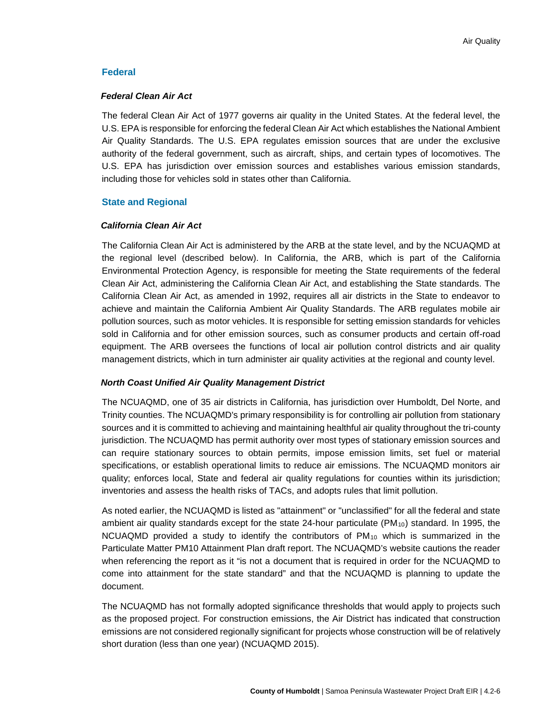# **Federal**

### *Federal Clean Air Act*

The federal Clean Air Act of 1977 governs air quality in the United States. At the federal level, the U.S. EPA is responsible for enforcing the federal Clean Air Act which establishes the National Ambient Air Quality Standards. The U.S. EPA regulates emission sources that are under the exclusive authority of the federal government, such as aircraft, ships, and certain types of locomotives. The U.S. EPA has jurisdiction over emission sources and establishes various emission standards, including those for vehicles sold in states other than California.

# **State and Regional**

## *California Clean Air Act*

The California Clean Air Act is administered by the ARB at the state level, and by the NCUAQMD at the regional level (described below). In California, the ARB, which is part of the California Environmental Protection Agency, is responsible for meeting the State requirements of the federal Clean Air Act, administering the California Clean Air Act, and establishing the State standards. The California Clean Air Act, as amended in 1992, requires all air districts in the State to endeavor to achieve and maintain the California Ambient Air Quality Standards. The ARB regulates mobile air pollution sources, such as motor vehicles. It is responsible for setting emission standards for vehicles sold in California and for other emission sources, such as consumer products and certain off-road equipment. The ARB oversees the functions of local air pollution control districts and air quality management districts, which in turn administer air quality activities at the regional and county level.

## *North Coast Unified Air Quality Management District*

The NCUAQMD, one of 35 air districts in California, has jurisdiction over Humboldt, Del Norte, and Trinity counties. The NCUAQMD's primary responsibility is for controlling air pollution from stationary sources and it is committed to achieving and maintaining healthful air quality throughout the tri-county jurisdiction. The NCUAQMD has permit authority over most types of stationary emission sources and can require stationary sources to obtain permits, impose emission limits, set fuel or material specifications, or establish operational limits to reduce air emissions. The NCUAQMD monitors air quality; enforces local, State and federal air quality regulations for counties within its jurisdiction; inventories and assess the health risks of TACs, and adopts rules that limit pollution.

As noted earlier, the NCUAQMD is listed as "attainment" or "unclassified" for all the federal and state ambient air quality standards except for the state 24-hour particulate (PM $_{10}$ ) standard. In 1995, the NCUAQMD provided a study to identify the contributors of  $PM_{10}$  which is summarized in the Particulate Matter PM10 Attainment Plan draft report. The NCUAQMD's website cautions the reader when referencing the report as it "is not a document that is required in order for the NCUAQMD to come into attainment for the state standard" and that the NCUAQMD is planning to update the document.

The NCUAQMD has not formally adopted significance thresholds that would apply to projects such as the proposed project. For construction emissions, the Air District has indicated that construction emissions are not considered regionally significant for projects whose construction will be of relatively short duration (less than one year) (NCUAQMD 2015).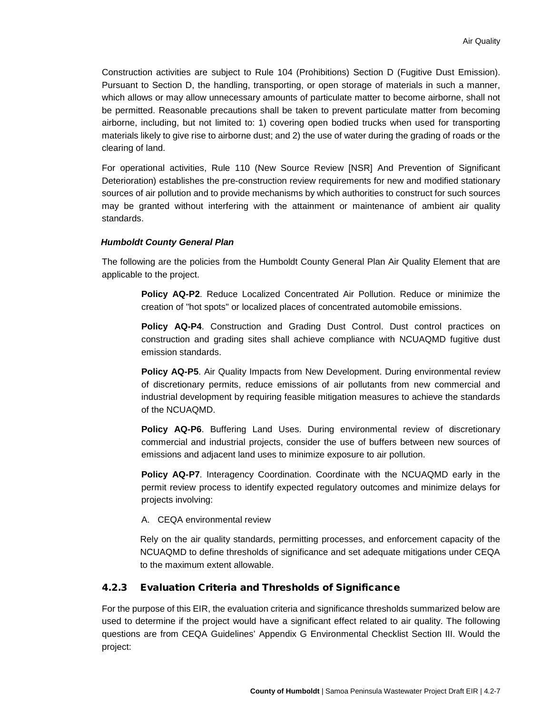Construction activities are subject to Rule 104 (Prohibitions) Section D (Fugitive Dust Emission). Pursuant to Section D, the handling, transporting, or open storage of materials in such a manner, which allows or may allow unnecessary amounts of particulate matter to become airborne, shall not be permitted. Reasonable precautions shall be taken to prevent particulate matter from becoming airborne, including, but not limited to: 1) covering open bodied trucks when used for transporting materials likely to give rise to airborne dust; and 2) the use of water during the grading of roads or the clearing of land.

For operational activities, Rule 110 (New Source Review [NSR] And Prevention of Significant Deterioration) establishes the pre-construction review requirements for new and modified stationary sources of air pollution and to provide mechanisms by which authorities to construct for such sources may be granted without interfering with the attainment or maintenance of ambient air quality standards.

### *Humboldt County General Plan*

The following are the policies from the Humboldt County General Plan Air Quality Element that are applicable to the project.

> **Policy AQ-P2**. Reduce Localized Concentrated Air Pollution. Reduce or minimize the creation of "hot spots" or localized places of concentrated automobile emissions.

> **Policy AQ-P4**. Construction and Grading Dust Control. Dust control practices on construction and grading sites shall achieve compliance with NCUAQMD fugitive dust emission standards.

> **Policy AQ-P5**. Air Quality Impacts from New Development. During environmental review of discretionary permits, reduce emissions of air pollutants from new commercial and industrial development by requiring feasible mitigation measures to achieve the standards of the NCUAQMD.

> **Policy AQ-P6**. Buffering Land Uses. During environmental review of discretionary commercial and industrial projects, consider the use of buffers between new sources of emissions and adjacent land uses to minimize exposure to air pollution.

> **Policy AQ-P7**. Interagency Coordination. Coordinate with the NCUAQMD early in the permit review process to identify expected regulatory outcomes and minimize delays for projects involving:

A. CEQA environmental review

Rely on the air quality standards, permitting processes, and enforcement capacity of the NCUAQMD to define thresholds of significance and set adequate mitigations under CEQA to the maximum extent allowable.

## <span id="page-6-0"></span>4.2.3 Evaluation Criteria and Thresholds of Significance

For the purpose of this EIR, the evaluation criteria and significance thresholds summarized below are used to determine if the project would have a significant effect related to air quality. The following questions are from CEQA Guidelines' Appendix G Environmental Checklist Section III. Would the project: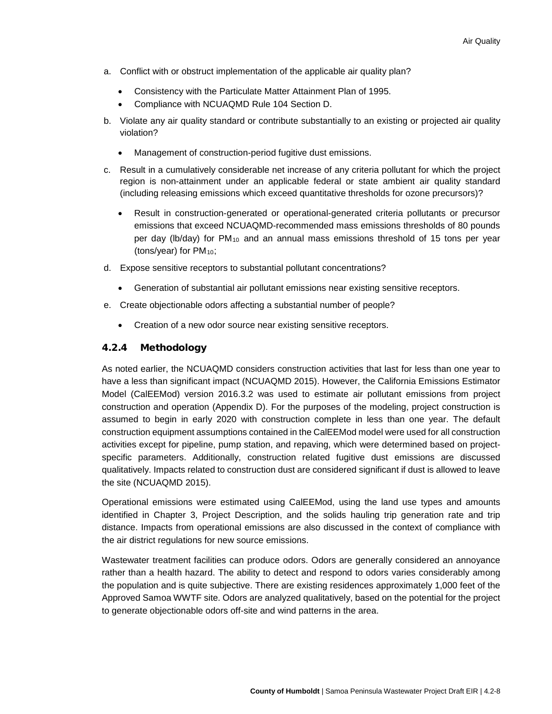- a. Conflict with or obstruct implementation of the applicable air quality plan?
	- Consistency with the Particulate Matter Attainment Plan of 1995.
	- Compliance with NCUAQMD Rule 104 Section D.
- b. Violate any air quality standard or contribute substantially to an existing or projected air quality violation?
	- Management of construction-period fugitive dust emissions.
- c. Result in a cumulatively considerable net increase of any criteria pollutant for which the project region is non-attainment under an applicable federal or state ambient air quality standard (including releasing emissions which exceed quantitative thresholds for ozone precursors)?
	- Result in construction-generated or operational-generated criteria pollutants or precursor emissions that exceed NCUAQMD-recommended mass emissions thresholds of 80 pounds per day ( $\frac{1}{6}$  /  $\frac{1}{10}$  for PM<sub>10</sub> and an annual mass emissions threshold of 15 tons per year (tons/year) for  $PM_{10}$ ;
- d. Expose sensitive receptors to substantial pollutant concentrations?
	- Generation of substantial air pollutant emissions near existing sensitive receptors.
- e. Create objectionable odors affecting a substantial number of people?
	- Creation of a new odor source near existing sensitive receptors.

# 4.2.4 Methodology

As noted earlier, the NCUAQMD considers construction activities that last for less than one year to have a less than significant impact (NCUAQMD 2015). However, the California Emissions Estimator Model (CalEEMod) version 2016.3.2 was used to estimate air pollutant emissions from project construction and operation (Appendix D). For the purposes of the modeling, project construction is assumed to begin in early 2020 with construction complete in less than one year. The default construction equipment assumptions contained in the CalEEMod model were used for all construction activities except for pipeline, pump station, and repaving, which were determined based on projectspecific parameters. Additionally, construction related fugitive dust emissions are discussed qualitatively. Impacts related to construction dust are considered significant if dust is allowed to leave the site (NCUAQMD 2015).

Operational emissions were estimated using CalEEMod, using the land use types and amounts identified in Chapter 3, Project Description, and the solids hauling trip generation rate and trip distance. Impacts from operational emissions are also discussed in the context of compliance with the air district regulations for new source emissions.

Wastewater treatment facilities can produce odors. Odors are generally considered an annoyance rather than a health hazard. The ability to detect and respond to odors varies considerably among the population and is quite subjective. There are existing residences approximately 1,000 feet of the Approved Samoa WWTF site. Odors are analyzed qualitatively, based on the potential for the project to generate objectionable odors off-site and wind patterns in the area.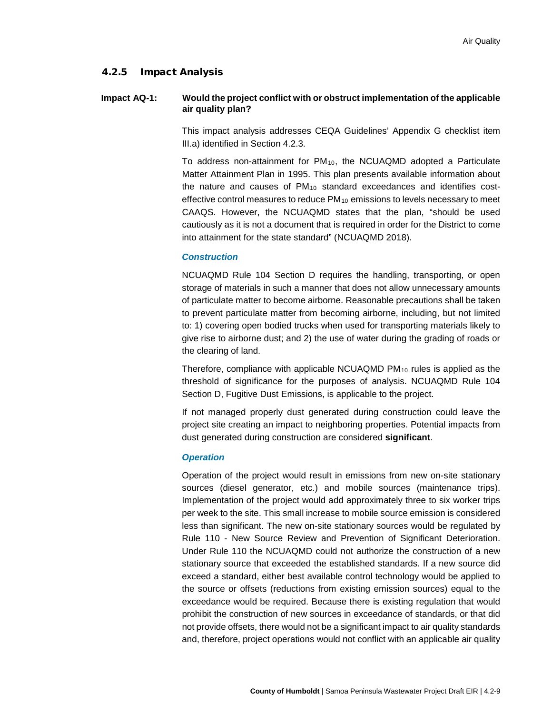## 4.2.5 Impact Analysis

## **Impact AQ-1: Would the project conflict with or obstruct implementation of the applicable air quality plan?**

This impact analysis addresses CEQA Guidelines' Appendix G checklist item III.a) identified in Section [4.2.3.](#page-6-0)

To address non-attainment for  $PM_{10}$ , the NCUAQMD adopted a Particulate Matter Attainment Plan in 1995. This plan presents available information about the nature and causes of  $PM_{10}$  standard exceedances and identifies costeffective control measures to reduce  $PM_{10}$  emissions to levels necessary to meet CAAQS. However, the NCUAQMD states that the plan, "should be used cautiously as it is not a document that is required in order for the District to come into attainment for the state standard" (NCUAQMD 2018).

## *Construction*

NCUAQMD Rule 104 Section D requires the handling, transporting, or open storage of materials in such a manner that does not allow unnecessary amounts of particulate matter to become airborne. Reasonable precautions shall be taken to prevent particulate matter from becoming airborne, including, but not limited to: 1) covering open bodied trucks when used for transporting materials likely to give rise to airborne dust; and 2) the use of water during the grading of roads or the clearing of land.

Therefore, compliance with applicable NCUAQMD  $PM_{10}$  rules is applied as the threshold of significance for the purposes of analysis. NCUAQMD Rule 104 Section D, Fugitive Dust Emissions, is applicable to the project.

If not managed properly dust generated during construction could leave the project site creating an impact to neighboring properties. Potential impacts from dust generated during construction are considered **significant**.

#### *Operation*

Operation of the project would result in emissions from new on-site stationary sources (diesel generator, etc.) and mobile sources (maintenance trips). Implementation of the project would add approximately three to six worker trips per week to the site. This small increase to mobile source emission is considered less than significant. The new on-site stationary sources would be regulated by Rule 110 - New Source Review and Prevention of Significant Deterioration. Under Rule 110 the NCUAQMD could not authorize the construction of a new stationary source that exceeded the established standards. If a new source did exceed a standard, either best available control technology would be applied to the source or offsets (reductions from existing emission sources) equal to the exceedance would be required. Because there is existing regulation that would prohibit the construction of new sources in exceedance of standards, or that did not provide offsets, there would not be a significant impact to air quality standards and, therefore, project operations would not conflict with an applicable air quality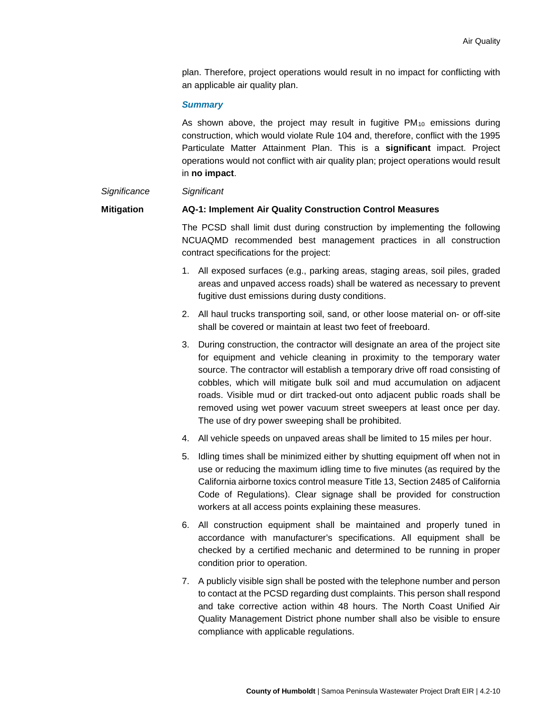plan. Therefore, project operations would result in no impact for conflicting with an applicable air quality plan.

### *Summary*

As shown above, the project may result in fugitive  $PM_{10}$  emissions during construction, which would violate Rule 104 and, therefore, conflict with the 1995 Particulate Matter Attainment Plan. This is a **significant** impact. Project operations would not conflict with air quality plan; project operations would result in **no impact**.

#### *Significance Significant*

## **Mitigation AQ-1: Implement Air Quality Construction Control Measures**

The PCSD shall limit dust during construction by implementing the following NCUAQMD recommended best management practices in all construction contract specifications for the project:

- 1. All exposed surfaces (e.g., parking areas, staging areas, soil piles, graded areas and unpaved access roads) shall be watered as necessary to prevent fugitive dust emissions during dusty conditions.
- 2. All haul trucks transporting soil, sand, or other loose material on- or off-site shall be covered or maintain at least two feet of freeboard.
- 3. During construction, the contractor will designate an area of the project site for equipment and vehicle cleaning in proximity to the temporary water source. The contractor will establish a temporary drive off road consisting of cobbles, which will mitigate bulk soil and mud accumulation on adjacent roads. Visible mud or dirt tracked-out onto adjacent public roads shall be removed using wet power vacuum street sweepers at least once per day. The use of dry power sweeping shall be prohibited.
- 4. All vehicle speeds on unpaved areas shall be limited to 15 miles per hour.
- 5. Idling times shall be minimized either by shutting equipment off when not in use or reducing the maximum idling time to five minutes (as required by the California airborne toxics control measure Title 13, Section 2485 of California Code of Regulations). Clear signage shall be provided for construction workers at all access points explaining these measures.
- 6. All construction equipment shall be maintained and properly tuned in accordance with manufacturer's specifications. All equipment shall be checked by a certified mechanic and determined to be running in proper condition prior to operation.
- 7. A publicly visible sign shall be posted with the telephone number and person to contact at the PCSD regarding dust complaints. This person shall respond and take corrective action within 48 hours. The North Coast Unified Air Quality Management District phone number shall also be visible to ensure compliance with applicable regulations.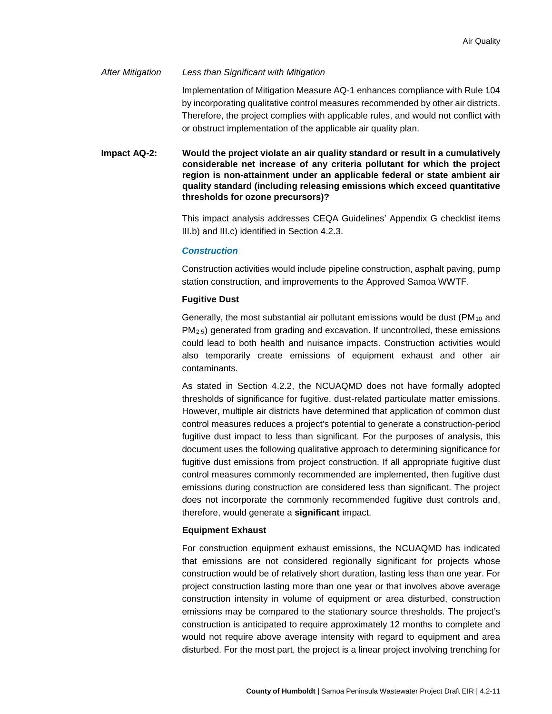### *After Mitigation Less than Significant with Mitigation*

Implementation of Mitigation Measure AQ-1 enhances compliance with Rule 104 by incorporating qualitative control measures recommended by other air districts. Therefore, the project complies with applicable rules, and would not conflict with or obstruct implementation of the applicable air quality plan.

**Impact AQ-2: Would the project violate an air quality standard or result in a cumulatively considerable net increase of any criteria pollutant for which the project region is non-attainment under an applicable federal or state ambient air quality standard (including releasing emissions which exceed quantitative thresholds for ozone precursors)?**

> This impact analysis addresses CEQA Guidelines' Appendix G checklist items III.b) and III.c) identified in Section [4.2.3.](#page-6-0)

### *Construction*

Construction activities would include pipeline construction, asphalt paving, pump station construction, and improvements to the Approved Samoa WWTF.

### **Fugitive Dust**

Generally, the most substantial air pollutant emissions would be dust ( $PM<sub>10</sub>$  and  $PM<sub>2.5</sub>$ ) generated from grading and excavation. If uncontrolled, these emissions could lead to both health and nuisance impacts. Construction activities would also temporarily create emissions of equipment exhaust and other air contaminants.

As stated in Section 4.2.2, the NCUAQMD does not have formally adopted thresholds of significance for fugitive, dust-related particulate matter emissions. However, multiple air districts have determined that application of common dust control measures reduces a project's potential to generate a construction-period fugitive dust impact to less than significant. For the purposes of analysis, this document uses the following qualitative approach to determining significance for fugitive dust emissions from project construction. If all appropriate fugitive dust control measures commonly recommended are implemented, then fugitive dust emissions during construction are considered less than significant. The project does not incorporate the commonly recommended fugitive dust controls and, therefore, would generate a **significant** impact.

## **Equipment Exhaust**

For construction equipment exhaust emissions, the NCUAQMD has indicated that emissions are not considered regionally significant for projects whose construction would be of relatively short duration, lasting less than one year. For project construction lasting more than one year or that involves above average construction intensity in volume of equipment or area disturbed, construction emissions may be compared to the stationary source thresholds. The project's construction is anticipated to require approximately 12 months to complete and would not require above average intensity with regard to equipment and area disturbed. For the most part, the project is a linear project involving trenching for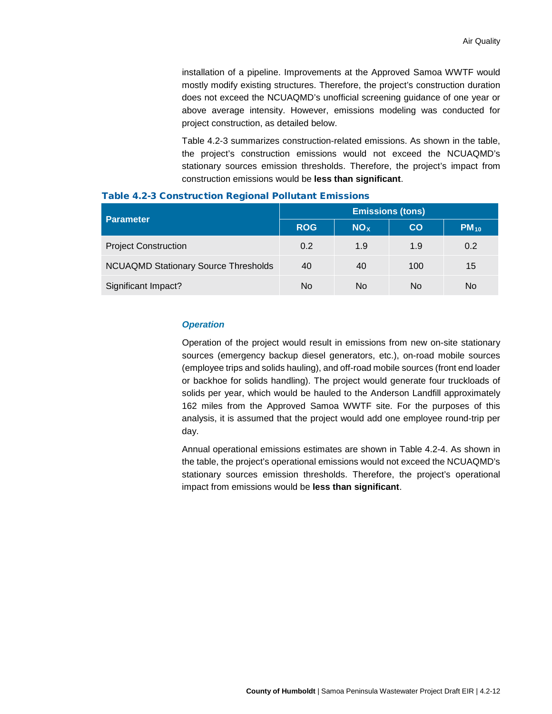installation of a pipeline. Improvements at the Approved Samoa WWTF would mostly modify existing structures. Therefore, the project's construction duration does not exceed the NCUAQMD's unofficial screening guidance of one year or above average intensity. However, emissions modeling was conducted for project construction, as detailed below.

[Table 4.2-3](#page-11-0) summarizes construction-related emissions. As shown in the table, the project's construction emissions would not exceed the NCUAQMD's stationary sources emission thresholds. Therefore, the project's impact from construction emissions would be **less than significant**.

| <b>Parameter</b>                            | <b>Emissions (tons)</b> |                        |     |           |  |  |
|---------------------------------------------|-------------------------|------------------------|-----|-----------|--|--|
|                                             | <b>ROG</b>              | <b>NO</b> <sub>x</sub> | CO  | $PM_{10}$ |  |  |
| <b>Project Construction</b>                 | 0.2                     | 1.9                    | 1.9 | 0.2       |  |  |
| <b>NCUAQMD Stationary Source Thresholds</b> | 40                      | 40                     | 100 | 15        |  |  |
| Significant Impact?                         | No                      | No                     | No  | No        |  |  |

#### <span id="page-11-0"></span>Table 4.2-3 Construction Regional Pollutant Emissions

#### *Operation*

Operation of the project would result in emissions from new on-site stationary sources (emergency backup diesel generators, etc.), on-road mobile sources (employee trips and solids hauling), and off-road mobile sources (front end loader or backhoe for solids handling). The project would generate four truckloads of solids per year, which would be hauled to the Anderson Landfill approximately 162 miles from the Approved Samoa WWTF site. For the purposes of this analysis, it is assumed that the project would add one employee round-trip per day.

<span id="page-11-1"></span>Annual operational emissions estimates are shown in [Table 4.2-4.](#page-11-1) As shown in the table, the project's operational emissions would not exceed the NCUAQMD's stationary sources emission thresholds. Therefore, the project's operational impact from emissions would be **less than significant**.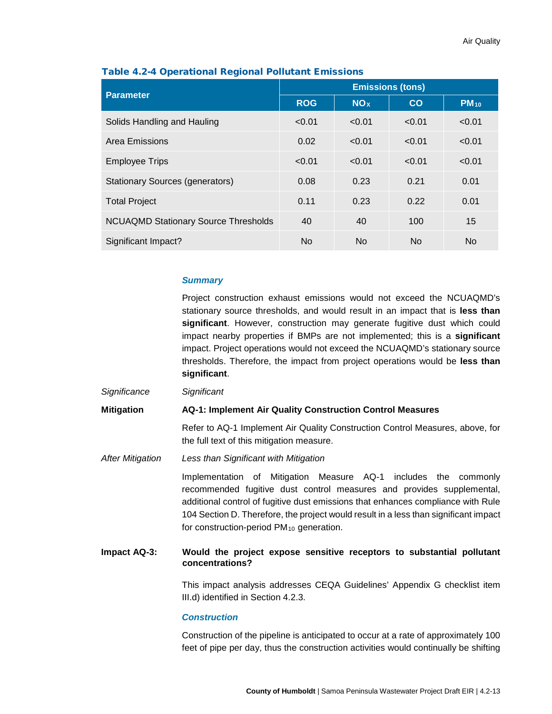| <b>Parameter</b>                            | <b>Emissions (tons)</b> |                 |                |                |  |
|---------------------------------------------|-------------------------|-----------------|----------------|----------------|--|
|                                             | <b>ROG</b>              | NO <sub>x</sub> | <b>CO</b>      | $PM_{10}$      |  |
| Solids Handling and Hauling                 | < 0.01                  | < 0.01          | < 0.01         | < 0.01         |  |
| Area Emissions                              | 0.02                    | < 0.01          | < 0.01         | < 0.01         |  |
| <b>Employee Trips</b>                       | < 0.01                  | < 0.01          | < 0.01         | < 0.01         |  |
| <b>Stationary Sources (generators)</b>      | 0.08                    | 0.23            | 0.21           | 0.01           |  |
| <b>Total Project</b>                        | 0.11                    | 0.23            | 0.22           | 0.01           |  |
| <b>NCUAQMD Stationary Source Thresholds</b> | 40                      | 40              | 100            | 15             |  |
| Significant Impact?                         | N <sub>o</sub>          | <b>No</b>       | N <sub>o</sub> | N <sub>o</sub> |  |

## Table 4.2-4 Operational Regional Pollutant Emissions

## *Summary*

Project construction exhaust emissions would not exceed the NCUAQMD's stationary source thresholds, and would result in an impact that is **less than significant**. However, construction may generate fugitive dust which could impact nearby properties if BMPs are not implemented; this is a **significant** impact. Project operations would not exceed the NCUAQMD's stationary source thresholds. Therefore, the impact from project operations would be **less than significant**.

*Significance Significant*

**Mitigation AQ-1: Implement Air Quality Construction Control Measures**

Refer to AQ-1 Implement Air Quality Construction Control Measures, above, for the full text of this mitigation measure.

*After Mitigation Less than Significant with Mitigation*

Implementation of Mitigation Measure AQ-1 includes the commonly recommended fugitive dust control measures and provides supplemental, additional control of fugitive dust emissions that enhances compliance with Rule 104 Section D. Therefore, the project would result in a less than significant impact for construction-period  $PM_{10}$  generation.

## **Impact AQ-3: Would the project expose sensitive receptors to substantial pollutant concentrations?**

This impact analysis addresses CEQA Guidelines' Appendix G checklist item III.d) identified in Section [4.2.3.](#page-6-0)

### *Construction*

Construction of the pipeline is anticipated to occur at a rate of approximately 100 feet of pipe per day, thus the construction activities would continually be shifting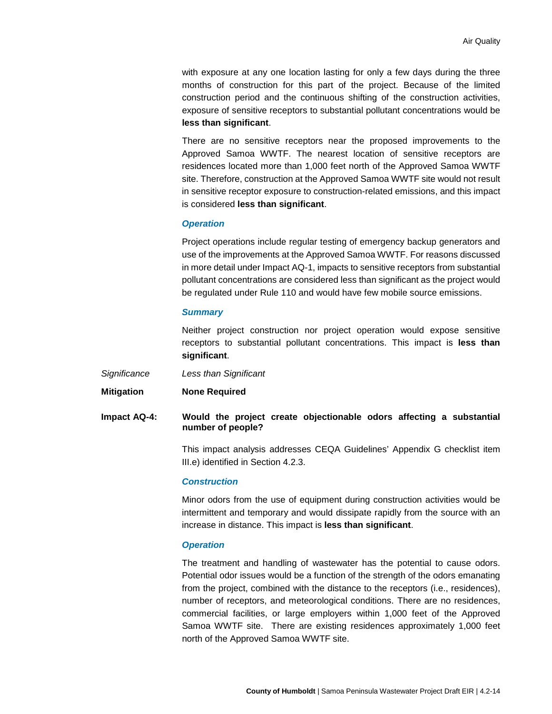with exposure at any one location lasting for only a few days during the three months of construction for this part of the project. Because of the limited construction period and the continuous shifting of the construction activities, exposure of sensitive receptors to substantial pollutant concentrations would be **less than significant**.

There are no sensitive receptors near the proposed improvements to the Approved Samoa WWTF. The nearest location of sensitive receptors are residences located more than 1,000 feet north of the Approved Samoa WWTF site. Therefore, construction at the Approved Samoa WWTF site would not result in sensitive receptor exposure to construction-related emissions, and this impact is considered **less than significant**.

#### *Operation*

Project operations include regular testing of emergency backup generators and use of the improvements at the Approved Samoa WWTF. For reasons discussed in more detail under Impact AQ-1, impacts to sensitive receptors from substantial pollutant concentrations are considered less than significant as the project would be regulated under Rule 110 and would have few mobile source emissions.

### *Summary*

Neither project construction nor project operation would expose sensitive receptors to substantial pollutant concentrations. This impact is **less than significant**.

- *Significance Less than Significant*
- **Mitigation None Required**
- **Impact AQ-4: Would the project create objectionable odors affecting a substantial number of people?**

This impact analysis addresses CEQA Guidelines' Appendix G checklist item III.e) identified in Section [4.2.3.](#page-6-0)

### *Construction*

Minor odors from the use of equipment during construction activities would be intermittent and temporary and would dissipate rapidly from the source with an increase in distance. This impact is **less than significant**.

#### *Operation*

The treatment and handling of wastewater has the potential to cause odors. Potential odor issues would be a function of the strength of the odors emanating from the project, combined with the distance to the receptors (i.e., residences), number of receptors, and meteorological conditions. There are no residences, commercial facilities, or large employers within 1,000 feet of the Approved Samoa WWTF site. There are existing residences approximately 1,000 feet north of the Approved Samoa WWTF site.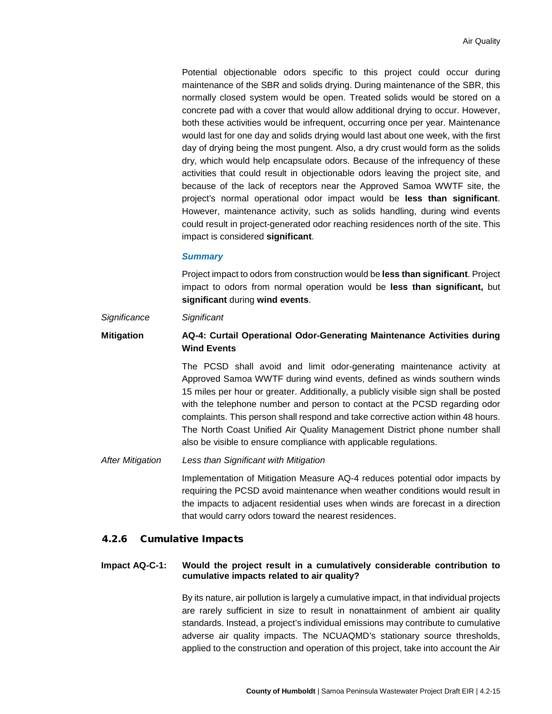Potential objectionable odors specific to this project could occur during maintenance of the SBR and solids drying. During maintenance of the SBR, this normally closed system would be open. Treated solids would be stored on a concrete pad with a cover that would allow additional drying to occur. However, both these activities would be infrequent, occurring once per year. Maintenance would last for one day and solids drying would last about one week, with the first day of drying being the most pungent. Also, a dry crust would form as the solids dry, which would help encapsulate odors. Because of the infrequency of these activities that could result in objectionable odors leaving the project site, and because of the lack of receptors near the Approved Samoa WWTF site, the project's normal operational odor impact would be **less than significant**. However, maintenance activity, such as solids handling, during wind events could result in project-generated odor reaching residences north of the site. This impact is considered **significant**.

#### *Summary*

Project impact to odors from construction would be **less than significant**. Project impact to odors from normal operation would be **less than significant,** but **significant** during **wind events**.

### *Significance Significant*

# **Mitigation AQ-4: Curtail Operational Odor-Generating Maintenance Activities during Wind Events**

The PCSD shall avoid and limit odor-generating maintenance activity at Approved Samoa WWTF during wind events, defined as winds southern winds 15 miles per hour or greater. Additionally, a publicly visible sign shall be posted with the telephone number and person to contact at the PCSD regarding odor complaints. This person shall respond and take corrective action within 48 hours. The North Coast Unified Air Quality Management District phone number shall also be visible to ensure compliance with applicable regulations.

#### *After Mitigation Less than Significant with Mitigation*

Implementation of Mitigation Measure AQ-4 reduces potential odor impacts by requiring the PCSD avoid maintenance when weather conditions would result in the impacts to adjacent residential uses when winds are forecast in a direction that would carry odors toward the nearest residences.

#### 4.2.6 Cumulative Impacts

# **Impact AQ-C-1: Would the project result in a cumulatively considerable contribution to cumulative impacts related to air quality?**

By its nature, air pollution is largely a cumulative impact, in that individual projects are rarely sufficient in size to result in nonattainment of ambient air quality standards. Instead, a project's individual emissions may contribute to cumulative adverse air quality impacts. The NCUAQMD's stationary source thresholds, applied to the construction and operation of this project, take into account the Air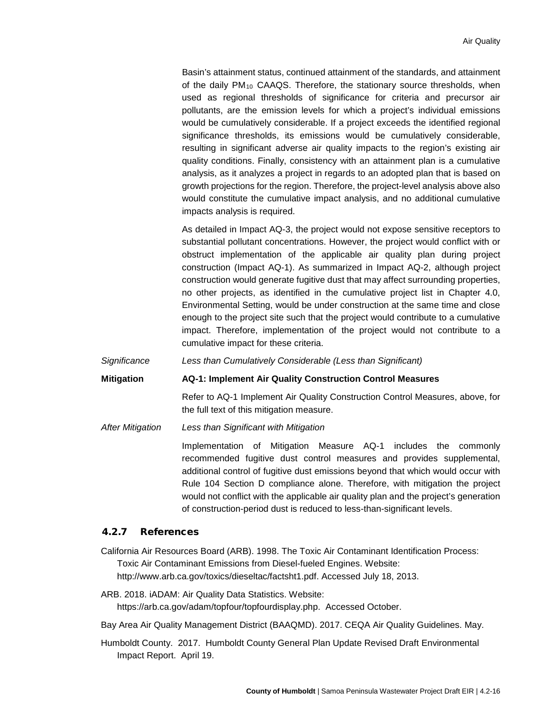Basin's attainment status, continued attainment of the standards, and attainment of the daily PM<sub>10</sub> CAAQS. Therefore, the stationary source thresholds, when used as regional thresholds of significance for criteria and precursor air pollutants, are the emission levels for which a project's individual emissions would be cumulatively considerable. If a project exceeds the identified regional significance thresholds, its emissions would be cumulatively considerable, resulting in significant adverse air quality impacts to the region's existing air quality conditions. Finally, consistency with an attainment plan is a cumulative analysis, as it analyzes a project in regards to an adopted plan that is based on growth projections for the region. Therefore, the project-level analysis above also would constitute the cumulative impact analysis, and no additional cumulative impacts analysis is required.

As detailed in Impact AQ-3, the project would not expose sensitive receptors to substantial pollutant concentrations. However, the project would conflict with or obstruct implementation of the applicable air quality plan during project construction (Impact AQ-1). As summarized in Impact AQ-2, although project construction would generate fugitive dust that may affect surrounding properties, no other projects, as identified in the cumulative project list in Chapter 4.0, Environmental Setting, would be under construction at the same time and close enough to the project site such that the project would contribute to a cumulative impact. Therefore, implementation of the project would not contribute to a cumulative impact for these criteria.

*Significance Less than Cumulatively Considerable (Less than Significant)*

**Mitigation AQ-1: Implement Air Quality Construction Control Measures**

Refer to AQ-1 Implement Air Quality Construction Control Measures, above, for the full text of this mitigation measure.

*After Mitigation Less than Significant with Mitigation*

Implementation of Mitigation Measure AQ-1 includes the commonly recommended fugitive dust control measures and provides supplemental, additional control of fugitive dust emissions beyond that which would occur with Rule 104 Section D compliance alone. Therefore, with mitigation the project would not conflict with the applicable air quality plan and the project's generation of construction-period dust is reduced to less-than-significant levels.

# 4.2.7 References

California Air Resources Board (ARB). 1998. The Toxic Air Contaminant Identification Process: Toxic Air Contaminant Emissions from Diesel-fueled Engines. Website: http://www.arb.ca.gov/toxics/dieseltac/factsht1.pdf. Accessed July 18, 2013.

- ARB. 2018. iADAM: Air Quality Data Statistics. Website: https://arb.ca.gov/adam/topfour/topfourdisplay.php. Accessed October.
- Bay Area Air Quality Management District (BAAQMD). 2017. CEQA Air Quality Guidelines. May.
- Humboldt County. 2017. Humboldt County General Plan Update Revised Draft Environmental Impact Report. April 19.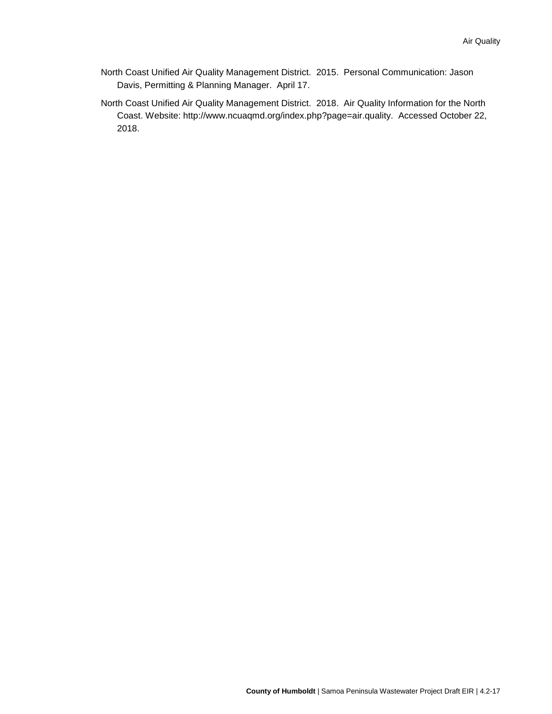- North Coast Unified Air Quality Management District. 2015. Personal Communication: Jason Davis, Permitting & Planning Manager. April 17.
- North Coast Unified Air Quality Management District. 2018. Air Quality Information for the North Coast. Website: http://www.ncuaqmd.org/index.php?page=air.quality. Accessed October 22, 2018.